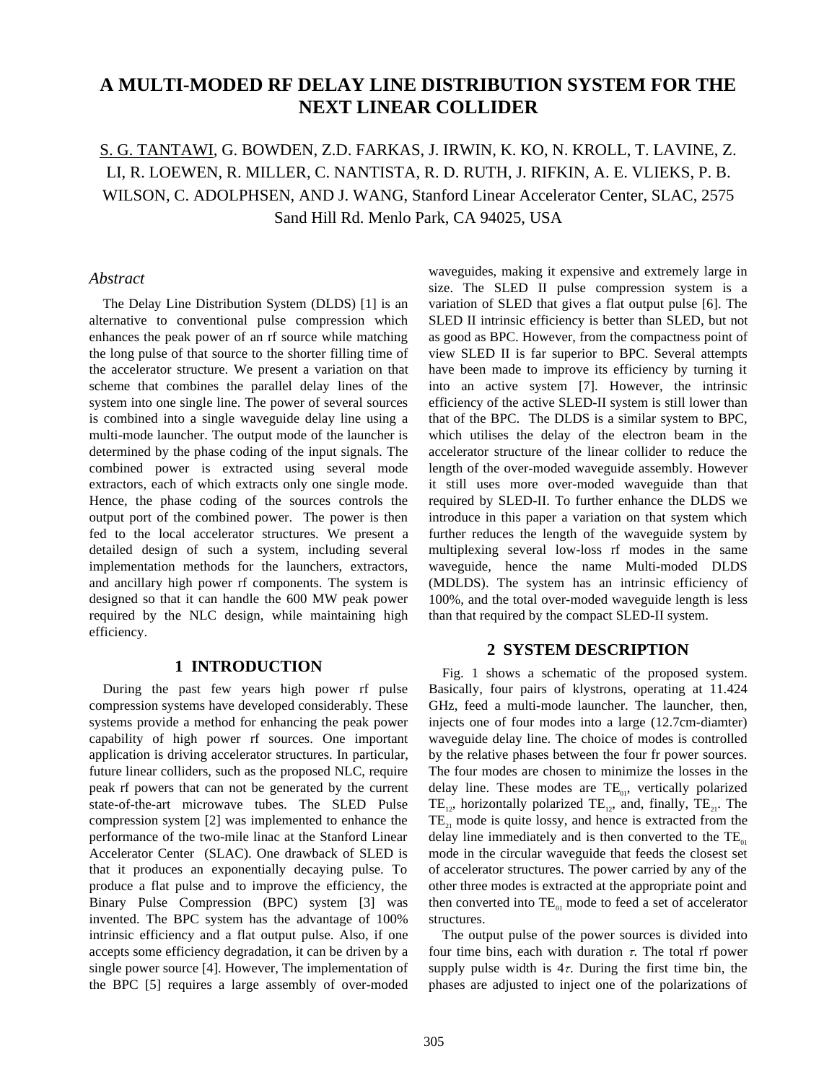## **A MULTI-MODED RF DELAY LINE DISTRIBUTION SYSTEM FOR THE NEXT LINEAR COLLIDER**

# S. G. TANTAWI, G. BOWDEN, Z.D. FARKAS, J. IRWIN, K. KO, N. KROLL, T. LAVINE, Z. LI, R. LOEWEN, R. MILLER, C. NANTISTA, R. D. RUTH, J. RIFKIN, A. E. VLIEKS, P. B. WILSON, C. ADOLPHSEN, AND J. WANG, Stanford Linear Accelerator Center, SLAC, 2575 Sand Hill Rd. Menlo Park, CA 94025, USA

### *Abstract*

The Delay Line Distribution System (DLDS) [1] is an alternative to conventional pulse compression which enhances the peak power of an rf source while matching the long pulse of that source to the shorter filling time of the accelerator structure. We present a variation on that scheme that combines the parallel delay lines of the system into one single line. The power of several sources is combined into a single waveguide delay line using a multi-mode launcher. The output mode of the launcher is determined by the phase coding of the input signals. The combined power is extracted using several mode extractors, each of which extracts only one single mode. Hence, the phase coding of the sources controls the output port of the combined power. The power is then fed to the local accelerator structures. We present a detailed design of such a system, including several implementation methods for the launchers, extractors, and ancillary high power rf components. The system is designed so that it can handle the 600 MW peak power required by the NLC design, while maintaining high efficiency.

### **1 INTRODUCTION**

During the past few years high power rf pulse compression systems have developed considerably. These systems provide a method for enhancing the peak power capability of high power rf sources. One important application is driving accelerator structures. In particular, future linear colliders, such as the proposed NLC, require peak rf powers that can not be generated by the current state-of-the-art microwave tubes. The SLED Pulse compression system [2] was implemented to enhance the performance of the two-mile linac at the Stanford Linear Accelerator Center (SLAC). One drawback of SLED is that it produces an exponentially decaying pulse. To produce a flat pulse and to improve the efficiency, the Binary Pulse Compression (BPC) system [3] was invented. The BPC system has the advantage of 100% intrinsic efficiency and a flat output pulse. Also, if one accepts some efficiency degradation, it can be driven by a single power source [4]. However, The implementation of the BPC [5] requires a large assembly of over-moded waveguides, making it expensive and extremely large in size. The SLED II pulse compression system is a variation of SLED that gives a flat output pulse [6]. The SLED II intrinsic efficiency is better than SLED, but not as good as BPC. However, from the compactness point of view SLED II is far superior to BPC. Several attempts have been made to improve its efficiency by turning it into an active system [7]. However, the intrinsic efficiency of the active SLED-II system is still lower than that of the BPC. The DLDS is a similar system to BPC, which utilises the delay of the electron beam in the accelerator structure of the linear collider to reduce the length of the over-moded waveguide assembly. However it still uses more over-moded waveguide than that required by SLED-II. To further enhance the DLDS we introduce in this paper a variation on that system which further reduces the length of the waveguide system by multiplexing several low-loss rf modes in the same waveguide, hence the name Multi-moded DLDS (MDLDS). The system has an intrinsic efficiency of 100%, and the total over-moded waveguide length is less than that required by the compact SLED-II system.

## **2 SYSTEM DESCRIPTION**

Fig. 1 shows a schematic of the proposed system. Basically, four pairs of klystrons, operating at 11.424 GHz, feed a multi-mode launcher. The launcher, then, injects one of four modes into a large (12.7cm-diamter) waveguide delay line. The choice of modes is controlled by the relative phases between the four fr power sources. The four modes are chosen to minimize the losses in the delay line. These modes are  $TE_{01}$ , vertically polarized TE<sub>12</sub>, horizontally polarized TE<sub>12</sub>, and, finally, TE<sub>21</sub>. The  $TE<sub>21</sub>$  mode is quite lossy, and hence is extracted from the delay line immediately and is then converted to the  $TE<sub>01</sub>$ mode in the circular waveguide that feeds the closest set of accelerator structures. The power carried by any of the other three modes is extracted at the appropriate point and then converted into  $TE_{01}$  mode to feed a set of accelerator structures.

The output pulse of the power sources is divided into four time bins, each with duration  $\tau$ . The total rf power supply pulse width is  $4\tau$ . During the first time bin, the phases are adjusted to inject one of the polarizations of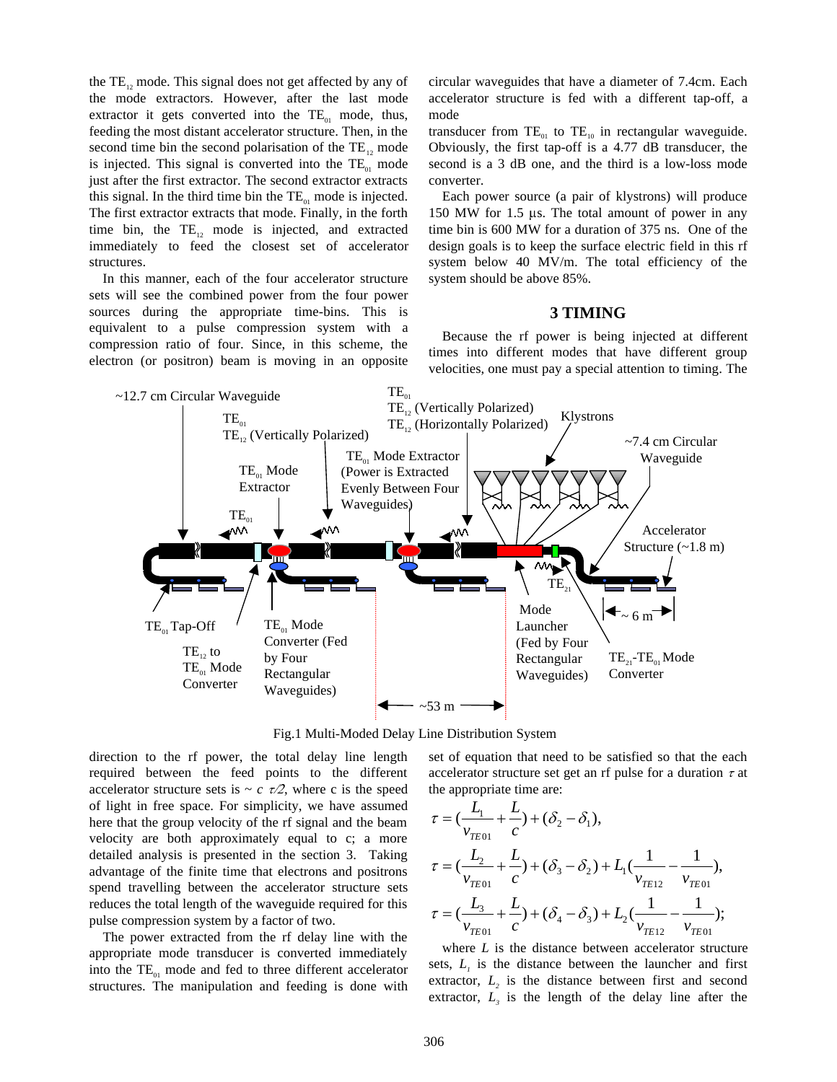the  $TE<sub>12</sub>$  mode. This signal does not get affected by any of the mode extractors. However, after the last mode extractor it gets converted into the  $TE_{01}$  mode, thus, feeding the most distant accelerator structure. Then, in the second time bin the second polarisation of the  $TE_1$ , mode is injected. This signal is converted into the  $TE_{01}$  mode just after the first extractor. The second extractor extracts this signal. In the third time bin the  $TE_{01}$  mode is injected. The first extractor extracts that mode. Finally, in the forth time bin, the  $TE_{12}$  mode is injected, and extracted immediately to feed the closest set of accelerator structures.

In this manner, each of the four accelerator structure sets will see the combined power from the four power sources during the appropriate time-bins. This is equivalent to a pulse compression system with a compression ratio of four. Since, in this scheme, the electron (or positron) beam is moving in an opposite circular waveguides that have a diameter of 7.4cm. Each accelerator structure is fed with a different tap-off, a mode

transducer from  $TE_{01}$  to  $TE_{10}$  in rectangular waveguide. Obviously, the first tap-off is a 4.77 dB transducer, the second is a 3 dB one, and the third is a low-loss mode converter.

Each power source (a pair of klystrons) will produce 150 MW for 1.5 us. The total amount of power in any time bin is 600 MW for a duration of 375 ns. One of the design goals is to keep the surface electric field in this rf system below 40 MV/m. The total efficiency of the system should be above 85%.

#### **3 TIMING**

Because the rf power is being injected at different times into different modes that have different group velocities, one must pay a special attention to timing. The



Fig.1 Multi-Moded Delay Line Distribution System

direction to the rf power, the total delay line length required between the feed points to the different accelerator structure sets is  $\sim c \tau/2$ , where c is the speed of light in free space. For simplicity, we have assumed here that the group velocity of the rf signal and the beam velocity are both approximately equal to c; a more detailed analysis is presented in the section 3. Taking advantage of the finite time that electrons and positrons spend travelling between the accelerator structure sets reduces the total length of the waveguide required for this pulse compression system by a factor of two.

The power extracted from the rf delay line with the appropriate mode transducer is converted immediately into the  $TE_{01}$  mode and fed to three different accelerator structures. The manipulation and feeding is done with set of equation that need to be satisfied so that the each accelerator structure set get an rf pulse for a duration  $\tau$  at the appropriate time are:

$$
\tau = (\frac{L_1}{v_{TE01}} + \frac{L}{c}) + (\delta_2 - \delta_1),
$$
  
\n
$$
\tau = (\frac{L_2}{v_{TE01}} + \frac{L}{c}) + (\delta_3 - \delta_2) + L_1(\frac{1}{v_{TE12}} - \frac{1}{v_{TE01}}),
$$
  
\n
$$
\tau = (\frac{L_3}{v_{TE01}} + \frac{L}{c}) + (\delta_4 - \delta_3) + L_2(\frac{1}{v_{TE12}} - \frac{1}{v_{TE01}});
$$

where *L* is the distance between accelerator structure sets,  $L<sub>1</sub>$  is the distance between the launcher and first extractor,  $L<sub>2</sub>$  is the distance between first and second extractor,  $L<sub>3</sub>$  is the length of the delay line after the